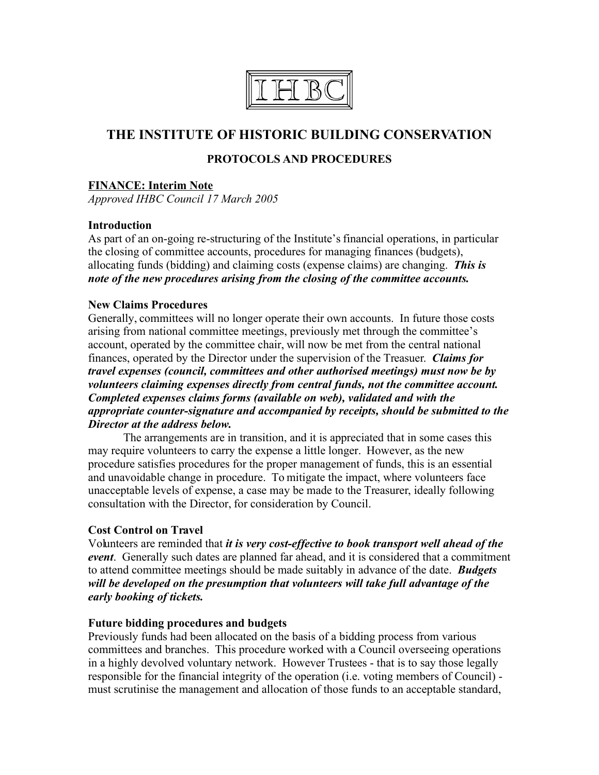

# **THE INSTITUTE OF HISTORIC BUILDING CONSERVATION**

## **PROTOCOLS AND PROCEDURES**

#### **FINANCE: Interim Note**

*Approved IHBC Council 17 March 2005*

#### **Introduction**

As part of an on-going re-structuring of the Institute's financial operations, in particular the closing of committee accounts, procedures for managing finances (budgets), allocating funds (bidding) and claiming costs (expense claims) are changing. *This is note of the new procedures arising from the closing of the committee accounts.*

#### **New Claims Procedures**

Generally, committees will no longer operate their own accounts. In future those costs arising from national committee meetings, previously met through the committee's account, operated by the committee chair, will now be met from the central national finances, operated by the Director under the supervision of the Treasuer. *Claims for travel expenses (council, committees and other authorised meetings) must now be by volunteers claiming expenses directly from central funds, not the committee account. Completed expenses claims forms (available on web), validated and with the appropriate counter-signature and accompanied by receipts, should be submitted to the Director at the address below.*

The arrangements are in transition, and it is appreciated that in some cases this may require volunteers to carry the expense a little longer. However, as the new procedure satisfies procedures for the proper management of funds, this is an essential and unavoidable change in procedure. To mitigate the impact, where volunteers face unacceptable levels of expense, a case may be made to the Treasurer, ideally following consultation with the Director, for consideration by Council.

### **Cost Control on Travel**

Volunteers are reminded that *it is very cost-effective to book transport well ahead of the event*. Generally such dates are planned far ahead, and it is considered that a commitment to attend committee meetings should be made suitably in advance of the date. *Budgets will be developed on the presumption that volunteers will take full advantage of the early booking of tickets.*

#### **Future bidding procedures and budgets**

Previously funds had been allocated on the basis of a bidding process from various committees and branches. This procedure worked with a Council overseeing operations in a highly devolved voluntary network. However Trustees - that is to say those legally responsible for the financial integrity of the operation (i.e. voting members of Council) must scrutinise the management and allocation of those funds to an acceptable standard,